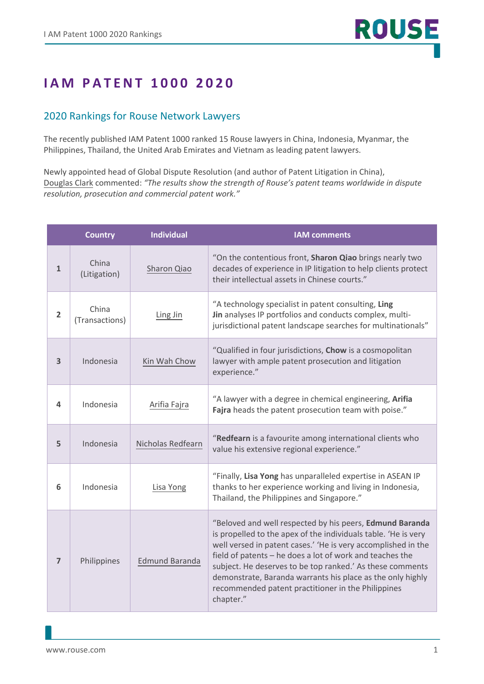## **I A M P A T EN T 1000 2020**

## 2020 Rankings for Rouse Network Lawyers

The recently published IAM Patent 1000 ranked 15 Rouse lawyers in China, Indonesia, Myanmar, the Philippines, Thailand, the United Arab Emirates and Vietnam as leading patent lawyers.

Newly appointed head of Global Dispute Resolution (and author of Patent Litigation in China), [Douglas Clark](https://www.rouse.com/people/douglas-clark/) commented: *"The results show the strength of Rouse's patent teams worldwide in dispute resolution, prosecution and commercial patent work."*

|                | <b>Country</b>          | <b>Individual</b>     | <b>IAM</b> comments                                                                                                                                                                                                                                                                                                                                                                                                                                   |
|----------------|-------------------------|-----------------------|-------------------------------------------------------------------------------------------------------------------------------------------------------------------------------------------------------------------------------------------------------------------------------------------------------------------------------------------------------------------------------------------------------------------------------------------------------|
| 1              | China<br>(Litigation)   | Sharon Qiao           | "On the contentious front, Sharon Qiao brings nearly two<br>decades of experience in IP litigation to help clients protect<br>their intellectual assets in Chinese courts."                                                                                                                                                                                                                                                                           |
| $\overline{2}$ | China<br>(Transactions) | Ling Jin              | "A technology specialist in patent consulting, Ling<br>Jin analyses IP portfolios and conducts complex, multi-<br>jurisdictional patent landscape searches for multinationals"                                                                                                                                                                                                                                                                        |
| 3              | Indonesia               | Kin Wah Chow          | "Qualified in four jurisdictions, Chow is a cosmopolitan<br>lawyer with ample patent prosecution and litigation<br>experience."                                                                                                                                                                                                                                                                                                                       |
| 4              | Indonesia               | Arifia Fajra          | "A lawyer with a degree in chemical engineering, Arifia<br>Fajra heads the patent prosecution team with poise."                                                                                                                                                                                                                                                                                                                                       |
| 5              | Indonesia               | Nicholas Redfearn     | "Redfearn is a favourite among international clients who<br>value his extensive regional experience."                                                                                                                                                                                                                                                                                                                                                 |
| 6              | Indonesia               | Lisa Yong             | "Finally, Lisa Yong has unparalleled expertise in ASEAN IP<br>thanks to her experience working and living in Indonesia,<br>Thailand, the Philippines and Singapore."                                                                                                                                                                                                                                                                                  |
| 7              | Philippines             | <b>Edmund Baranda</b> | "Beloved and well respected by his peers, Edmund Baranda<br>is propelled to the apex of the individuals table. 'He is very<br>well versed in patent cases.' 'He is very accomplished in the<br>field of patents - he does a lot of work and teaches the<br>subject. He deserves to be top ranked.' As these comments<br>demonstrate, Baranda warrants his place as the only highly<br>recommended patent practitioner in the Philippines<br>chapter." |